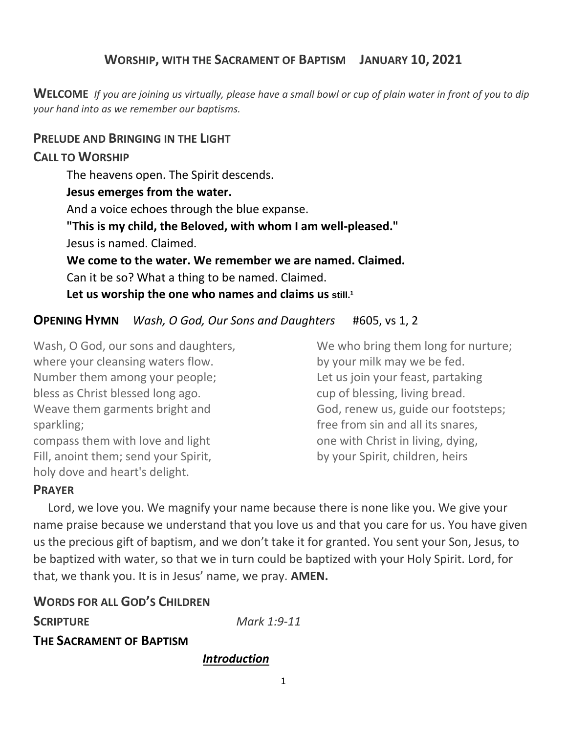# **WORSHIP, WITH THE SACRAMENT OF BAPTISM JANUARY 10, 2021**

**WELCOME** If you are joining us virtually, please have a small bowl or cup of plain water in front of you to dip *your hand into as we remember our baptisms.*

### **PRELUDE AND BRINGING IN THE LIGHT**

#### **CALL TO WORSHIP**

The heavens open. The Spirit descends. **Jesus emerges from the water.** And a voice echoes through the blue expanse. **"This is my child, the Beloved, with whom I am well-pleased."** Jesus is named. Claimed. **We come to the water. We remember we are named. Claimed.** Can it be so? What a thing to be named. Claimed. **Let us worship the one who names and claims us still.<sup>1</sup>**

## **OPENING HYMN** *Wash, O God, Our Sons and Daughters* #605, vs 1, 2

Wash, O God, our sons and daughters, where your cleansing waters flow. Number them among your people; bless as Christ blessed long ago. Weave them garments bright and sparkling; compass them with love and light Fill, anoint them; send your Spirit, holy dove and heart's delight.

We who bring them long for nurture; by your milk may we be fed. Let us join your feast, partaking cup of blessing, living bread. God, renew us, guide our footsteps; free from sin and all its snares, one with Christ in living, dying, by your Spirit, children, heirs

## **PRAYER**

 Lord, we love you. We magnify your name because there is none like you. We give your name praise because we understand that you love us and that you care for us. You have given us the precious gift of baptism, and we don't take it for granted. You sent your Son, Jesus, to be baptized with water, so that we in turn could be baptized with your Holy Spirit. Lord, for that, we thank you. It is in Jesus' name, we pray. **AMEN.**

#### **WORDS FOR ALL GOD'S CHILDREN**

**SCRIPTURE** *Mark 1:9-11*

**THE SACRAMENT OF BAPTISM**

#### *Introduction*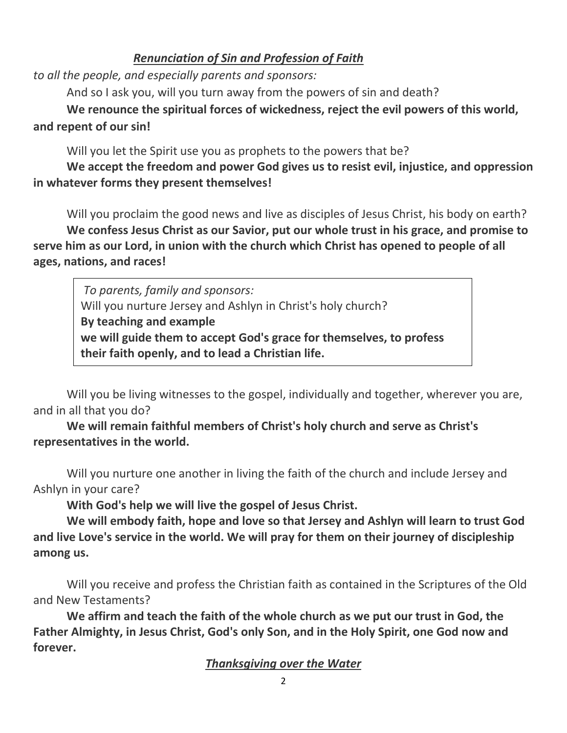## *Renunciation of Sin and Profession of Faith*

*to all the people, and especially parents and sponsors:*

And so I ask you, will you turn away from the powers of sin and death?

**We renounce the spiritual forces of wickedness, reject the evil powers of this world, and repent of our sin!**

Will you let the Spirit use you as prophets to the powers that be?

**We accept the freedom and power God gives us to resist evil, injustice, and oppression in whatever forms they present themselves!**

Will you proclaim the good news and live as disciples of Jesus Christ, his body on earth? **We confess Jesus Christ as our Savior, put our whole trust in his grace, and promise to serve him as our Lord, in union with the church which Christ has opened to people of all ages, nations, and races!**

*To parents, family and sponsors:* Will you nurture Jersey and Ashlyn in Christ's holy church? **By teaching and example we will guide them to accept God's grace for themselves, to profess their faith openly, and to lead a Christian life.**

Will you be living witnesses to the gospel, individually and together, wherever you are, and in all that you do?

**We will remain faithful members of Christ's holy church and serve as Christ's representatives in the world.**

Will you nurture one another in living the faith of the church and include Jersey and Ashlyn in your care?

**With God's help we will live the gospel of Jesus Christ.**

**We will embody faith, hope and love so that Jersey and Ashlyn will learn to trust God and live Love's service in the world. We will pray for them on their journey of discipleship among us.**

Will you receive and profess the Christian faith as contained in the Scriptures of the Old and New Testaments?

**We affirm and teach the faith of the whole church as we put our trust in God, the Father Almighty, in Jesus Christ, God's only Son, and in the Holy Spirit, one God now and forever.**

*Thanksgiving over the Water*